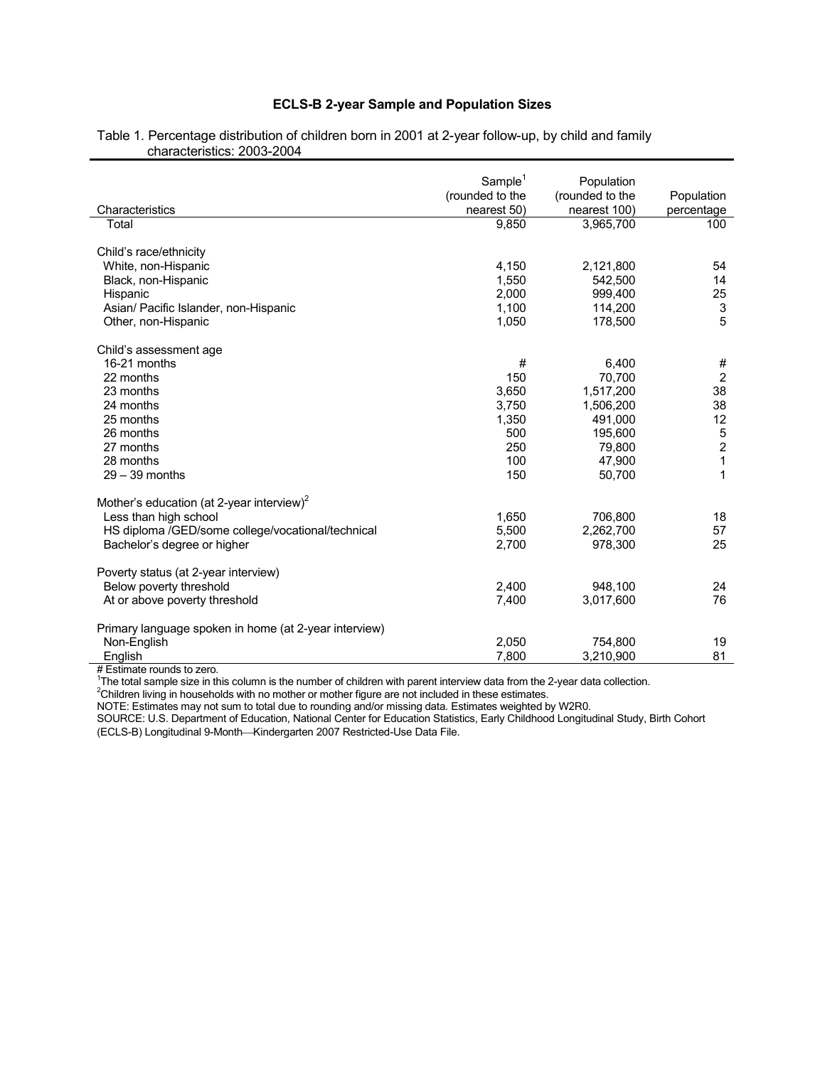# **ECLS-B 2-year Sample and Population Sizes**

|                                                       | Sample <sup>1</sup><br>(rounded to the | Population<br>(rounded to the | Population                                 |
|-------------------------------------------------------|----------------------------------------|-------------------------------|--------------------------------------------|
| Characteristics                                       | nearest 50)                            | nearest 100)                  | percentage                                 |
| Total                                                 | 9,850                                  | 3,965,700                     | 100                                        |
| Child's race/ethnicity                                |                                        |                               |                                            |
| White, non-Hispanic                                   | 4,150                                  | 2,121,800                     | 54                                         |
| Black, non-Hispanic                                   | 1,550                                  | 542,500                       | 14                                         |
| Hispanic                                              | 2,000                                  | 999,400                       | 25                                         |
| Asian/ Pacific Islander, non-Hispanic                 | 1,100                                  | 114,200                       | $\frac{3}{5}$                              |
| Other, non-Hispanic                                   | 1,050                                  | 178,500                       |                                            |
| Child's assessment age                                |                                        |                               |                                            |
| 16-21 months                                          | #                                      | 6,400                         | #                                          |
| 22 months                                             | 150                                    | 70,700                        | $\overline{2}$                             |
| 23 months                                             | 3,650                                  | 1,517,200                     | 38                                         |
| 24 months                                             | 3,750                                  | 1,506,200                     | 38                                         |
| 25 months                                             | 1,350                                  | 491,000                       | 12                                         |
| 26 months                                             | 500                                    | 195,600                       |                                            |
| 27 months                                             | 250                                    | 79,800                        | $\begin{array}{c} 5 \\ 2 \\ 1 \end{array}$ |
| 28 months                                             | 100                                    | 47,900                        |                                            |
| $29 - 39$ months                                      | 150                                    | 50,700                        | $\mathbf{1}$                               |
| Mother's education (at 2-year interview) <sup>2</sup> |                                        |                               |                                            |
| Less than high school                                 | 1,650                                  | 706,800                       | 18                                         |
| HS diploma /GED/some college/vocational/technical     | 5,500                                  | 2,262,700                     | 57                                         |
| Bachelor's degree or higher                           | 2,700                                  | 978,300                       | 25                                         |
| Poverty status (at 2-year interview)                  |                                        |                               |                                            |
| Below poverty threshold                               | 2,400                                  | 948,100                       | 24                                         |
| At or above poverty threshold                         | 7,400                                  | 3,017,600                     | 76                                         |
| Primary language spoken in home (at 2-year interview) |                                        |                               |                                            |
| Non-English                                           | 2,050                                  | 754.800                       | 19                                         |
| English                                               | 7.800                                  | 3,210,900                     | 81                                         |

#### Table 1. Percentage distribution of children born in 2001 at 2-year follow-up, by child and family characteristics: 2003-2004

# Estimate rounds to zero.<br><sup>1</sup>The total sample size in this column is the number of children with parent interview data from the 2-year data collection.<br><sup>2</sup>Children living in households with no mother or mother figure are

NOTE: Estimates may not sum to total due to rounding and/or missing data. Estimates weighted by W2R0.

SOURCE: U.S. Department of Education, National Center for Education Statistics, Early Childhood Longitudinal Study, Birth Cohort (ECLS-B) Longitudinal 9-Month-Kindergarten 2007 Restricted-Use Data File.